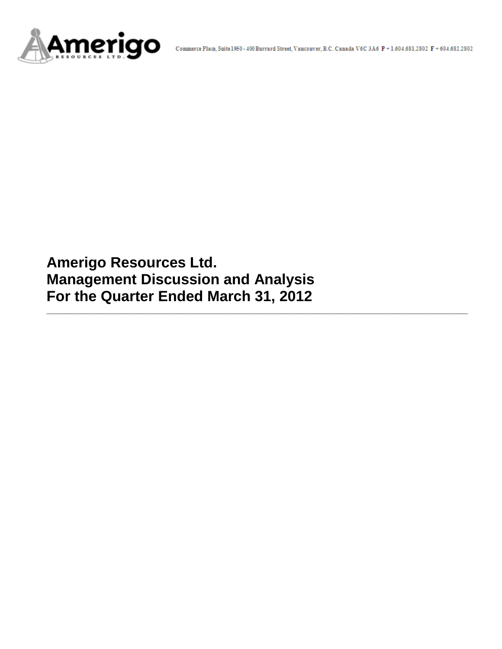

**Amerigo Resources Ltd. Management Discussion and Analysis For the Quarter Ended March 31, 2012**

**\_\_\_\_\_\_\_\_\_\_\_\_\_\_\_\_\_\_\_\_\_\_\_\_\_\_\_\_\_\_\_\_\_\_\_\_\_\_\_\_\_\_\_\_\_\_\_\_\_\_\_\_\_\_\_\_\_\_\_\_\_\_\_\_\_\_\_\_\_\_\_\_\_\_\_\_\_\_\_\_\_\_\_\_**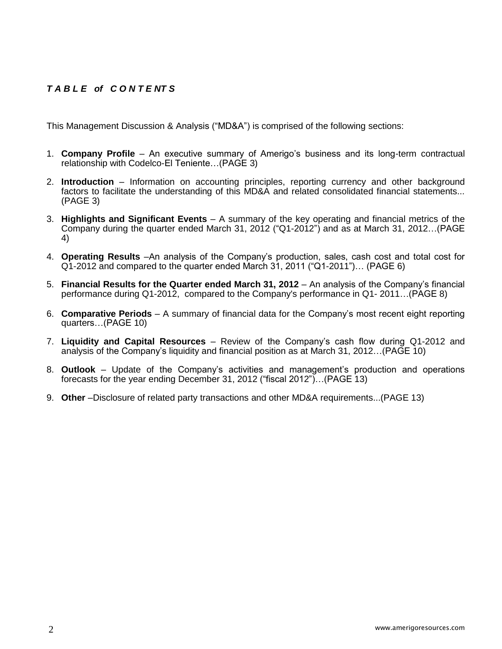# *T A B L E of C O N T E NT S*

This Management Discussion & Analysis ("MD&A") is comprised of the following sections:

- 1. **Company Profile**  An executive summary of Amerigo's business and its long-term contractual relationship with Codelco-El Teniente…(PAGE 3)
- 2. **Introduction**  Information on accounting principles, reporting currency and other background factors to facilitate the understanding of this MD&A and related consolidated financial statements... (PAGE 3)
- 3. **Highlights and Significant Events** A summary of the key operating and financial metrics of the Company during the quarter ended March 31, 2012 ("Q1-2012") and as at March 31, 2012…(PAGE 4)
- 4. **Operating Results** –An analysis of the Company's production, sales, cash cost and total cost for Q1-2012 and compared to the quarter ended March 31, 2011 ("Q1-2011")… (PAGE 6)
- 5. **Financial Results for the Quarter ended March 31, 2012** An analysis of the Company's financial performance during Q1-2012, compared to the Company's performance in Q1- 2011…(PAGE 8)
- 6. **Comparative Periods** A summary of financial data for the Company's most recent eight reporting quarters…(PAGE 10)
- 7. **Liquidity and Capital Resources** Review of the Company's cash flow during Q1-2012 and analysis of the Company's liquidity and financial position as at March 31, 2012…(PAGE 10)
- 8. **Outlook** Update of the Company's activities and management's production and operations forecasts for the year ending December 31, 2012 ("fiscal 2012")…(PAGE 13)
- 9. **Other** –Disclosure of related party transactions and other MD&A requirements...(PAGE 13)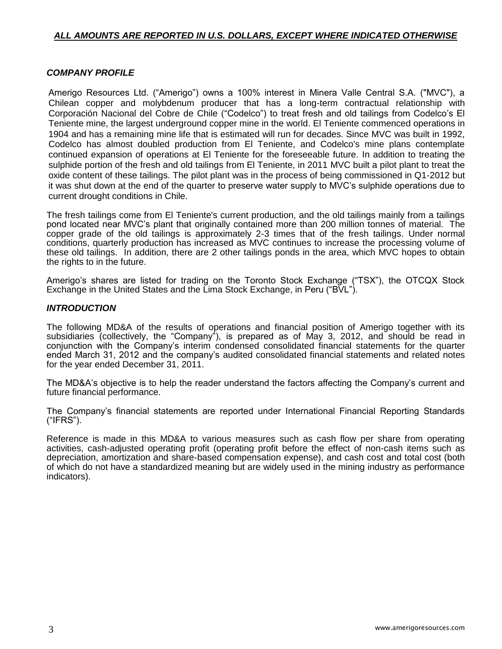# *ALL AMOUNTS ARE REPORTED IN U.S. DOLLARS, EXCEPT WHERE INDICATED OTHERWISE*

# *COMPANY PROFILE*

Amerigo Resources Ltd. ("Amerigo") owns a 100% interest in Minera Valle Central S.A. ("MVC"), a Chilean copper and molybdenum producer that has a long-term contractual relationship with Corporación Nacional del Cobre de Chile ("Codelco") to treat fresh and old tailings from Codelco's El Teniente mine, the largest underground copper mine in the world. El Teniente commenced operations in 1904 and has a remaining mine life that is estimated will run for decades. Since MVC was built in 1992, Codelco has almost doubled production from El Teniente, and Codelco's mine plans contemplate continued expansion of operations at El Teniente for the foreseeable future. In addition to treating the sulphide portion of the fresh and old tailings from El Teniente, in 2011 MVC built a pilot plant to treat the oxide content of these tailings. The pilot plant was in the process of being commissioned in Q1-2012 but it was shut down at the end of the quarter to preserve water supply to MVC's sulphide operations due to current drought conditions in Chile.

The fresh tailings come from El Teniente's current production, and the old tailings mainly from a tailings pond located near MVC's plant that originally contained more than 200 million tonnes of material. The copper grade of the old tailings is approximately 2-3 times that of the fresh tailings. Under normal conditions, quarterly production has increased as MVC continues to increase the processing volume of these old tailings. In addition, there are 2 other tailings ponds in the area, which MVC hopes to obtain the rights to in the future.

Amerigo's shares are listed for trading on the Toronto Stock Exchange ("TSX"), the OTCQX Stock Exchange in the United States and the Lima Stock Exchange, in Peru ("BVL").

## *INTRODUCTION*

The following MD&A of the results of operations and financial position of Amerigo together with its subsidiaries (collectively, the "Company"), is prepared as of May 3, 2012, and should be read in conjunction with the Company's interim condensed consolidated financial statements for the quarter ended March 31, 2012 and the company's audited consolidated financial statements and related notes for the year ended December 31, 2011.

The MD&A's objective is to help the reader understand the factors affecting the Company's current and future financial performance.

The Company's financial statements are reported under International Financial Reporting Standards ("IFRS").

Reference is made in this MD&A to various measures such as cash flow per share from operating activities, cash-adjusted operating profit (operating profit before the effect of non-cash items such as depreciation, amortization and share-based compensation expense), and cash cost and total cost (both of which do not have a standardized meaning but are widely used in the mining industry as performance indicators).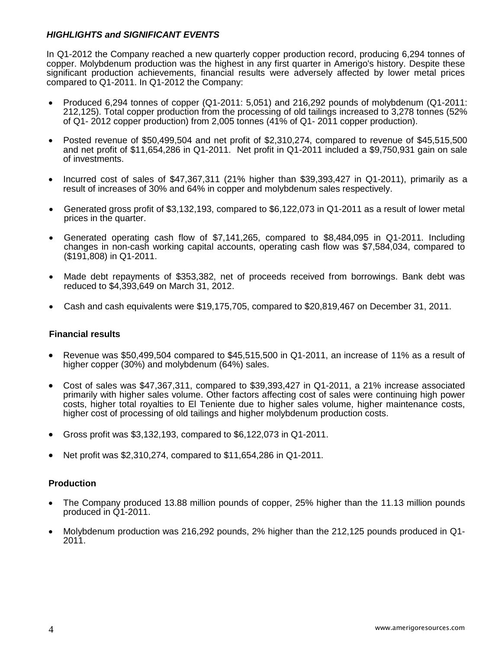# *HIGHLIGHTS and SIGNIFICANT EVENTS*

In Q1-2012 the Company reached a new quarterly copper production record, producing 6,294 tonnes of copper. Molybdenum production was the highest in any first quarter in Amerigo's history. Despite these significant production achievements, financial results were adversely affected by lower metal prices compared to Q1-2011. In Q1-2012 the Company:

- Produced 6,294 tonnes of copper (Q1-2011: 5,051) and 216,292 pounds of molybdenum (Q1-2011: 212,125). Total copper production from the processing of old tailings increased to 3,278 tonnes (52% of Q1- 2012 copper production) from 2,005 tonnes (41% of Q1- 2011 copper production).
- Posted revenue of \$50,499,504 and net profit of \$2,310,274, compared to revenue of \$45,515,500 and net profit of \$11,654,286 in Q1-2011. Net profit in Q1-2011 included a \$9,750,931 gain on sale of investments.
- $\bullet$  Incurred cost of sales of \$47,367,311 (21% higher than \$39,393,427 in Q1-2011), primarily as a result of increases of 30% and 64% in copper and molybdenum sales respectively.
- Generated gross profit of \$3,132,193, compared to \$6,122,073 in Q1-2011 as a result of lower metal prices in the quarter.
- Generated operating cash flow of \$7,141,265, compared to \$8,484,095 in Q1-2011. Including changes in non-cash working capital accounts, operating cash flow was \$7,584,034, compared to (\$191,808) in Q1-2011.
- Made debt repayments of \$353,382, net of proceeds received from borrowings. Bank debt was reduced to \$4,393,649 on March 31, 2012.
- Cash and cash equivalents were \$19,175,705, compared to \$20,819,467 on December 31, 2011.

# **Financial results**

- **•** Revenue was \$50,499,504 compared to \$45,515,500 in Q1-2011, an increase of 11% as a result of higher copper (30%) and molybdenum (64%) sales.
- Cost of sales was \$47,367,311, compared to \$39,393,427 in Q1-2011, a 21% increase associated primarily with higher sales volume. Other factors affecting cost of sales were continuing high power costs, higher total royalties to El Teniente due to higher sales volume, higher maintenance costs, higher cost of processing of old tailings and higher molybdenum production costs.
- Gross profit was  $$3,132,193$ , compared to  $$6,122,073$  in Q1-2011.
- Net profit was  $$2,310,274$ , compared to  $$11,654,286$  in Q1-2011.

# **Production**

- The Company produced 13.88 million pounds of copper, 25% higher than the 11.13 million pounds produced in Q1-2011.
- Molybdenum production was 216,292 pounds, 2% higher than the 212,125 pounds produced in Q1- 2011.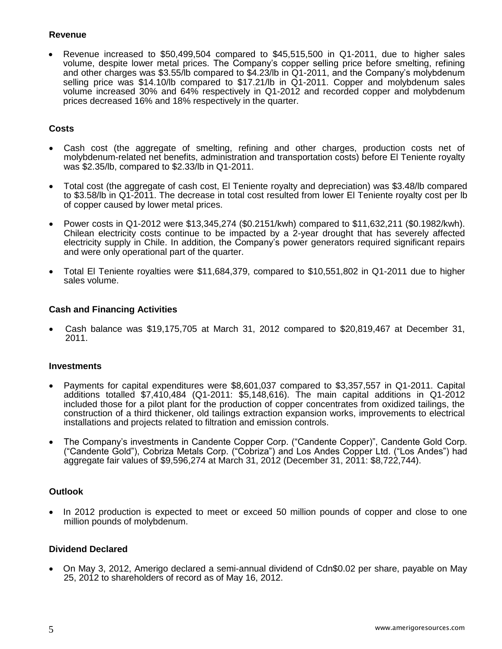## **Revenue**

 Revenue increased to \$50,499,504 compared to \$45,515,500 in Q1-2011, due to higher sales volume, despite lower metal prices. The Company's copper selling price before smelting, refining and other charges was \$3.55/lb compared to \$4.23/lb in Q1-2011, and the Company's molybdenum selling price was \$14.10/lb compared to \$17.21/lb in Q1-2011. Copper and molybdenum sales volume increased 30% and 64% respectively in Q1-2012 and recorded copper and molybdenum prices decreased 16% and 18% respectively in the quarter.

# **Costs**

- Cash cost (the aggregate of smelting, refining and other charges, production costs net of molybdenum-related net benefits, administration and transportation costs) before El Teniente royalty was \$2.35/lb, compared to \$2.33/lb in Q1-2011.
- Total cost (the aggregate of cash cost, El Teniente royalty and depreciation) was \$3.48/lb compared to \$3.58/lb in Q1-2011. The decrease in total cost resulted from lower El Teniente royalty cost per lb of copper caused by lower metal prices.
- Power costs in Q1-2012 were \$13,345,274 (\$0.2151/kwh) compared to \$11,632,211 (\$0.1982/kwh). Chilean electricity costs continue to be impacted by a 2-year drought that has severely affected electricity supply in Chile. In addition, the Company's power generators required significant repairs and were only operational part of the quarter.
- Total El Teniente royalties were \$11,684,379, compared to \$10,551,802 in Q1-2011 due to higher sales volume.

# **Cash and Financing Activities**

 Cash balance was \$19,175,705 at March 31, 2012 compared to \$20,819,467 at December 31, 2011.

## **Investments**

- Payments for capital expenditures were \$8,601,037 compared to \$3,357,557 in Q1-2011. Capital additions totalled \$7,410,484 (Q1-2011: \$5,148,616). The main capital additions in Q1-2012 included those for a pilot plant for the production of copper concentrates from oxidized tailings, the construction of a third thickener, old tailings extraction expansion works, improvements to electrical installations and projects related to filtration and emission controls.
- The Company's investments in Candente Copper Corp. ("Candente Copper)", Candente Gold Corp. ("Candente Gold"), Cobriza Metals Corp. ("Cobriza") and Los Andes Copper Ltd. ("Los Andes") had aggregate fair values of \$9,596,274 at March 31, 2012 (December 31, 2011: \$8,722,744).

## **Outlook**

• In 2012 production is expected to meet or exceed 50 million pounds of copper and close to one million pounds of molybdenum.

## **Dividend Declared**

 On May 3, 2012, Amerigo declared a semi-annual dividend of Cdn\$0.02 per share, payable on May 25, 2012 to shareholders of record as of May 16, 2012.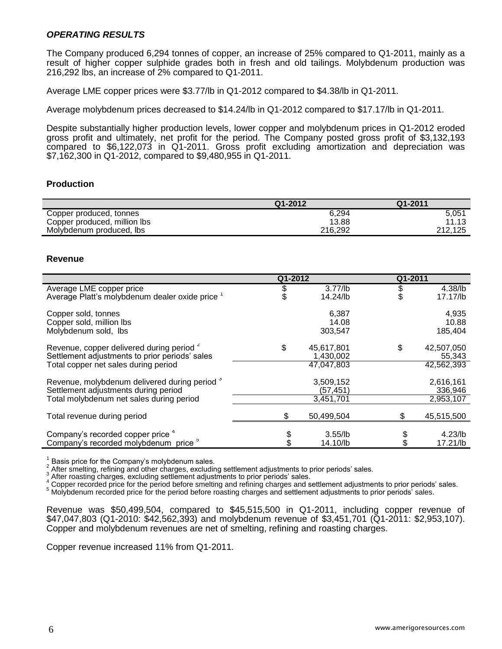## *OPERATING RESULTS*

The Company produced 6,294 tonnes of copper, an increase of 25% compared to Q1-2011, mainly as a result of higher copper sulphide grades both in fresh and old tailings. Molybdenum production was 216,292 lbs, an increase of 2% compared to Q1-2011.

Average LME copper prices were \$3.77/lb in Q1-2012 compared to \$4.38/lb in Q1-2011.

Average molybdenum prices decreased to \$14.24/lb in Q1-2012 compared to \$17.17/lb in Q1-2011.

Despite substantially higher production levels, lower copper and molybdenum prices in Q1-2012 eroded gross profit and ultimately, net profit for the period. The Company posted gross profit of \$3,132,193 compared to \$6,122,073 in Q1-2011. Gross profit excluding amortization and depreciation was \$7,162,300 in Q1-2012, compared to \$9,480,955 in Q1-2011.

## **Production**

|                              | Q1-2012 | Q1-2011 |
|------------------------------|---------|---------|
| Copper produced, tonnes      | 6.294   | 5.05'   |
| Copper produced, million lbs | 13.88   | 11.13   |
| Molybdenum produced, lbs     | 216.292 | 212.125 |

#### **Revenue**

|                                                                                                                                                | Q1-2012 |                                       |    | Q1-2011                            |
|------------------------------------------------------------------------------------------------------------------------------------------------|---------|---------------------------------------|----|------------------------------------|
| Average LME copper price<br>Average Platt's molybdenum dealer oxide price 1                                                                    |         | $3.77$ /lb<br>14.24/lb                | S  | 4.38/lb<br>17.17/lb                |
| Copper sold, tonnes<br>Copper sold, million lbs<br>Molybdenum sold, lbs                                                                        |         | 6,387<br>14.08<br>303,547             |    | 4,935<br>10.88<br>185,404          |
| Revenue, copper delivered during period <sup>2</sup><br>Settlement adjustments to prior periods' sales<br>Total copper net sales during period | \$      | 45,617,801<br>1,430,002<br>47,047,803 | \$ | 42,507,050<br>55,343<br>42,562,393 |
| Revenue, molybdenum delivered during period 3<br>Settlement adjustments during period<br>Total molybdenum net sales during period              |         | 3,509,152<br>(57, 451)<br>3,451,701   |    | 2,616,161<br>336,946<br>2,953,107  |
| Total revenue during period                                                                                                                    |         | 50,499,504                            |    | 45,515,500                         |
| Company's recorded copper price 4<br>Company's recorded molybdenum price <sup>o</sup>                                                          |         | $3.55$ /lb<br>14.10/lb                |    | $4.23$ /lb<br>17.21/lb             |

<sup>1</sup> Basis price for the Company's molybdenum sales.<br>  $2^2$  After smelting, refining and other charges, excluding settlement adjustments to prior periods' sales.

After roasting charges, excluding settlement adjustments to prior periods' sales.

Copper recorded price for the period before smelting and refining charges and settlement adjustments to prior periods' sales.

<sup>5</sup> Molybdenum recorded price for the period before roasting charges and settlement adjustments to prior periods' sales.

Revenue was \$50,499,504, compared to \$45,515,500 in Q1-2011, including copper revenue of \$47,047,803 (Q1-2010: \$42,562,393) and molybdenum revenue of \$3,451,701 (Q1-2011: \$2,953,107). Copper and molybdenum revenues are net of smelting, refining and roasting charges.

Copper revenue increased 11% from Q1-2011.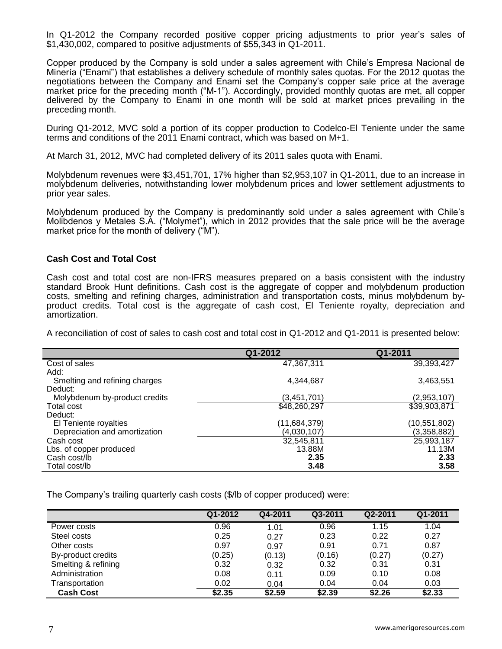In Q1-2012 the Company recorded positive copper pricing adjustments to prior year's sales of \$1,430,002, compared to positive adjustments of \$55,343 in Q1-2011.

Copper produced by the Company is sold under a sales agreement with Chile's Empresa Nacional de Minería ("Enami") that establishes a delivery schedule of monthly sales quotas. For the 2012 quotas the negotiations between the Company and Enami set the Company's copper sale price at the average market price for the preceding month ("M-1"). Accordingly, provided monthly quotas are met, all copper delivered by the Company to Enami in one month will be sold at market prices prevailing in the preceding month.

During Q1-2012, MVC sold a portion of its copper production to Codelco-El Teniente under the same terms and conditions of the 2011 Enami contract, which was based on M+1.

At March 31, 2012, MVC had completed delivery of its 2011 sales quota with Enami.

Molybdenum revenues were \$3,451,701, 17% higher than \$2,953,107 in Q1-2011, due to an increase in molybdenum deliveries, notwithstanding lower molybdenum prices and lower settlement adjustments to prior year sales.

Molybdenum produced by the Company is predominantly sold under a sales agreement with Chile's Molibdenos y Metales S.A. ("Molymet"), which in 2012 provides that the sale price will be the average market price for the month of delivery ("M").

## **Cash Cost and Total Cost**

Cash cost and total cost are non-IFRS measures prepared on a basis consistent with the industry standard Brook Hunt definitions. Cash cost is the aggregate of copper and molybdenum production costs, smelting and refining charges, administration and transportation costs, minus molybdenum byproduct credits. Total cost is the aggregate of cash cost, El Teniente royalty, depreciation and amortization.

A reconciliation of cost of sales to cash cost and total cost in Q1-2012 and Q1-2011 is presented below:

|                               | Q1-2012      | Q1-2011      |
|-------------------------------|--------------|--------------|
| Cost of sales                 | 47,367,311   | 39,393,427   |
| Add:                          |              |              |
| Smelting and refining charges | 4,344,687    | 3,463,551    |
| Deduct:                       |              |              |
| Molybdenum by-product credits | (3,451,701)  | (2,953,107)  |
| Total cost                    | \$48,260,297 | \$39,903,871 |
| Deduct:                       |              |              |
| El Teniente royalties         | (11,684,379) | (10,551,802) |
| Depreciation and amortization | (4,030,107)  | (3,358,882)  |
| Cash cost                     | 32,545,811   | 25,993,187   |
| Lbs. of copper produced       | 13.88M       | 11.13M       |
| Cash cost/lb                  | 2.35         | 2.33         |
| Total cost/lb                 | 3.48         | 3.58         |

The Company's trailing quarterly cash costs (\$/lb of copper produced) were:

|                     | Q1-2012 | Q4-2011 | Q3-2011 | Q2-2011 | Q1-2011 |
|---------------------|---------|---------|---------|---------|---------|
| Power costs         | 0.96    | 1.01    | 0.96    | 1.15    | 1.04    |
| Steel costs         | 0.25    | 0.27    | 0.23    | 0.22    | 0.27    |
| Other costs         | 0.97    | 0.97    | 0.91    | 0.71    | 0.87    |
| By-product credits  | (0.25)  | (0.13)  | (0.16)  | (0.27)  | (0.27)  |
| Smelting & refining | 0.32    | 0.32    | 0.32    | 0.31    | 0.31    |
| Administration      | 0.08    | 0.11    | 0.09    | 0.10    | 0.08    |
| Transportation      | 0.02    | 0.04    | 0.04    | 0.04    | 0.03    |
| <b>Cash Cost</b>    | \$2.35  | \$2.59  | \$2.39  | \$2.26  | \$2.33  |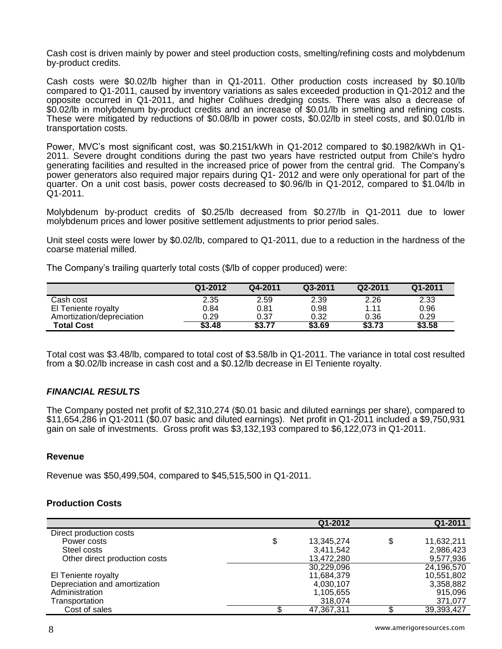Cash cost is driven mainly by power and steel production costs, smelting/refining costs and molybdenum by-product credits.

Cash costs were \$0.02/lb higher than in Q1-2011. Other production costs increased by \$0.10/lb compared to Q1-2011, caused by inventory variations as sales exceeded production in Q1-2012 and the opposite occurred in Q1-2011, and higher Colihues dredging costs. There was also a decrease of \$0.02/lb in molybdenum by-product credits and an increase of \$0.01/lb in smelting and refining costs. These were mitigated by reductions of \$0.08/lb in power costs, \$0.02/lb in steel costs, and \$0.01/lb in transportation costs.

Power, MVC's most significant cost, was \$0.2151/kWh in Q1-2012 compared to \$0.1982/kWh in Q1- 2011. Severe drought conditions during the past two years have restricted output from Chile's hydro generating facilities and resulted in the increased price of power from the central grid. The Company's power generators also required major repairs during Q1- 2012 and were only operational for part of the quarter. On a unit cost basis, power costs decreased to \$0.96/lb in Q1-2012, compared to \$1.04/lb in Q1-2011.

Molybdenum by-product credits of \$0.25/lb decreased from \$0.27/lb in Q1-2011 due to lower molybdenum prices and lower positive settlement adjustments to prior period sales.

Unit steel costs were lower by \$0.02/lb, compared to Q1-2011, due to a reduction in the hardness of the coarse material milled.

The Company's trailing quarterly total costs (\$/lb of copper produced) were:

|                           | Q1-2012 | Q4-2011 | Q3-2011 | Q2-2011 | Q1-2011 |
|---------------------------|---------|---------|---------|---------|---------|
| Cash cost                 | 2.35    | 2.59    | 2.39    | 2.26    | 2.33    |
| El Teniente royalty       | 0.84    | 0.81    | 0.98    | 1.11    | 0.96    |
| Amortization/depreciation | 0.29    | 0.37    | 0.32    | 0.36    | 0.29    |
| <b>Total Cost</b>         | \$3.48  | \$3.77  | \$3.69  | \$3.73  | \$3.58  |

Total cost was \$3.48/lb, compared to total cost of \$3.58/lb in Q1-2011. The variance in total cost resulted from a \$0.02/lb increase in cash cost and a \$0.12/lb decrease in El Teniente royalty.

# *FINANCIAL RESULTS*

The Company posted net profit of \$2,310,274 (\$0.01 basic and diluted earnings per share), compared to \$11,654,286 in Q1-2011 (\$0.07 basic and diluted earnings). Net profit in Q1-2011 included a \$9,750,931 gain on sale of investments. Gross profit was \$3,132,193 compared to \$6,122,073 in Q1-2011.

## **Revenue**

Revenue was \$50,499,504, compared to \$45,515,500 in Q1-2011.

## **Production Costs**

|                               | Q1-2012          | Q1-2011          |
|-------------------------------|------------------|------------------|
| Direct production costs       |                  |                  |
| Power costs                   | \$<br>13,345,274 | \$<br>11,632,211 |
| Steel costs                   | 3,411,542        | 2,986,423        |
| Other direct production costs | 13,472,280       | 9,577,936        |
|                               | 30,229,096       | 24,196,570       |
| El Teniente royalty           | 11,684,379       | 10,551,802       |
| Depreciation and amortization | 4,030,107        | 3,358,882        |
| Administration                | 1,105,655        | 915,096          |
| Transportation                | 318,074          | 371,077          |
| Cost of sales                 | 47,367,311       | 39,393,427       |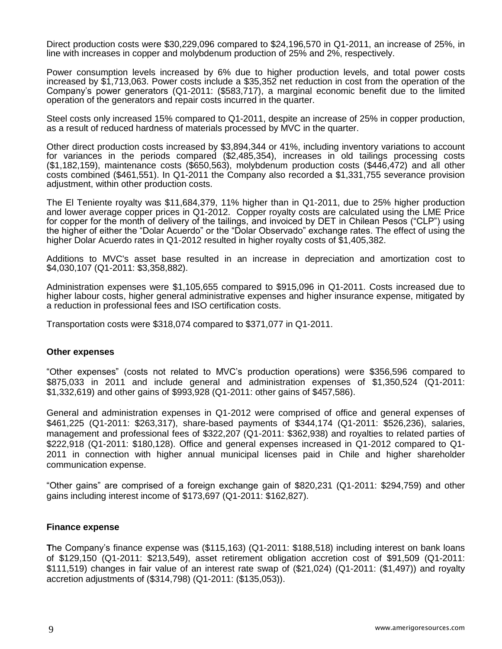Direct production costs were \$30,229,096 compared to \$24,196,570 in Q1-2011, an increase of 25%, in line with increases in copper and molybdenum production of 25% and 2%, respectively.

Power consumption levels increased by 6% due to higher production levels, and total power costs increased by \$1,713,063. Power costs include a \$35,352 net reduction in cost from the operation of the Company's power generators (Q1-2011: (\$583,717), a marginal economic benefit due to the limited operation of the generators and repair costs incurred in the quarter.

Steel costs only increased 15% compared to Q1-2011, despite an increase of 25% in copper production, as a result of reduced hardness of materials processed by MVC in the quarter.

Other direct production costs increased by \$3,894,344 or 41%, including inventory variations to account for variances in the periods compared (\$2,485,354), increases in old tailings processing costs (\$1,182,159), maintenance costs (\$650,563), molybdenum production costs (\$446,472) and all other costs combined (\$461,551). In Q1-2011 the Company also recorded a \$1,331,755 severance provision adjustment, within other production costs.

The El Teniente royalty was \$11,684,379, 11% higher than in Q1-2011, due to 25% higher production and lower average copper prices in Q1-2012. Copper royalty costs are calculated using the LME Price for copper for the month of delivery of the tailings, and invoiced by DET in Chilean Pesos ("CLP") using the higher of either the "Dolar Acuerdo" or the "Dolar Observado" exchange rates. The effect of using the higher Dolar Acuerdo rates in Q1-2012 resulted in higher royalty costs of \$1,405,382.

Additions to MVC's asset base resulted in an increase in depreciation and amortization cost to \$4,030,107 (Q1-2011: \$3,358,882).

Administration expenses were \$1,105,655 compared to \$915,096 in Q1-2011. Costs increased due to higher labour costs, higher general administrative expenses and higher insurance expense, mitigated by a reduction in professional fees and ISO certification costs.

Transportation costs were \$318,074 compared to \$371,077 in Q1-2011.

#### **Other expenses**

"Other expenses" (costs not related to MVC's production operations) were \$356,596 compared to \$875,033 in 2011 and include general and administration expenses of \$1,350,524 (Q1-2011: \$1,332,619) and other gains of \$993,928 (Q1-2011: other gains of \$457,586).

General and administration expenses in Q1-2012 were comprised of office and general expenses of \$461,225 (Q1-2011: \$263,317), share-based payments of \$344,174 (Q1-2011: \$526,236), salaries, management and professional fees of \$322,207 (Q1-2011: \$362,938) and royalties to related parties of \$222,918 (Q1-2011: \$180,128). Office and general expenses increased in Q1-2012 compared to Q1- 2011 in connection with higher annual municipal licenses paid in Chile and higher shareholder communication expense.

"Other gains" are comprised of a foreign exchange gain of \$820,231 (Q1-2011: \$294,759) and other gains including interest income of \$173,697 (Q1-2011: \$162,827).

#### **Finance expense**

**T**he Company's finance expense was (\$115,163) (Q1-2011: \$188,518) including interest on bank loans of \$129,150 (Q1-2011: \$213,549), asset retirement obligation accretion cost of \$91,509 (Q1-2011: \$111,519) changes in fair value of an interest rate swap of (\$21,024) (Q1-2011: (\$1,497)) and royalty accretion adjustments of (\$314,798) (Q1-2011: (\$135,053)).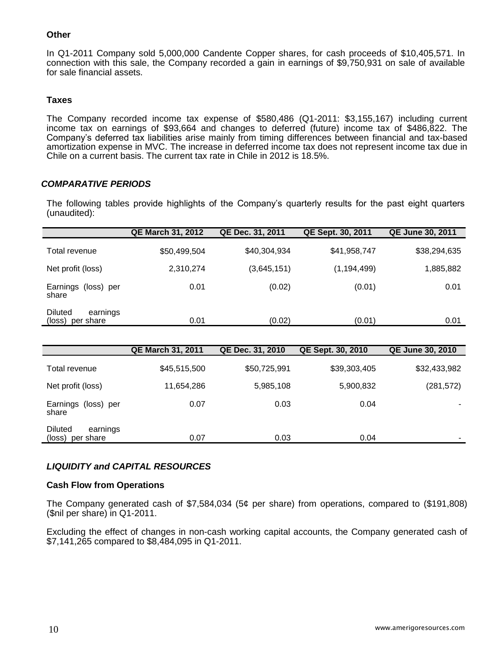## **Other**

In Q1-2011 Company sold 5,000,000 Candente Copper shares, for cash proceeds of \$10,405,571. In connection with this sale, the Company recorded a gain in earnings of \$9,750,931 on sale of available for sale financial assets.

# **Taxes**

The Company recorded income tax expense of \$580,486 (Q1-2011: \$3,155,167) including current income tax on earnings of \$93,664 and changes to deferred (future) income tax of \$486,822. The Company's deferred tax liabilities arise mainly from timing differences between financial and tax-based amortization expense in MVC. The increase in deferred income tax does not represent income tax due in Chile on a current basis. The current tax rate in Chile in 2012 is 18.5%.

# *COMPARATIVE PERIODS*

The following tables provide highlights of the Company's quarterly results for the past eight quarters (unaudited):

|                                                | <b>QE March 31, 2012</b> | QE Dec. 31, 2011 | <b>QE Sept. 30, 2011</b> | <b>QE June 30, 2011</b> |
|------------------------------------------------|--------------------------|------------------|--------------------------|-------------------------|
| Total revenue                                  | \$50,499,504             | \$40,304,934     | \$41,958,747             | \$38,294,635            |
| Net profit (loss)                              | 2,310,274                | (3,645,151)      | (1, 194, 499)            | 1,885,882               |
| Earnings (loss) per<br>share                   | 0.01                     | (0.02)           | (0.01)                   | 0.01                    |
| <b>Diluted</b><br>earnings<br>(loss) per share | 0.01                     | (0.02)           | (0.01)                   | 0.01                    |

|                                                   | <b>QE March 31, 2011</b> | QE Dec. 31, 2010 | QE Sept. 30, 2010 | <b>QE June 30, 2010</b> |
|---------------------------------------------------|--------------------------|------------------|-------------------|-------------------------|
| Total revenue                                     | \$45,515,500             | \$50,725,991     | \$39,303,405      | \$32,433,982            |
| Net profit (loss)                                 | 11,654,286               | 5,985,108        | 5,900,832         | (281, 572)              |
| Earnings (loss) per<br>share                      | 0.07                     | 0.03             | 0.04              |                         |
| <b>Diluted</b><br>earnings<br>(loss)<br>per share | 0.07                     | 0.03             | 0.04              |                         |

# *LIQUIDITY and CAPITAL RESOURCES*

## **Cash Flow from Operations**

The Company generated cash of \$7,584,034 (5¢ per share) from operations, compared to (\$191,808) (\$nil per share) in Q1-2011.

Excluding the effect of changes in non-cash working capital accounts, the Company generated cash of \$7,141,265 compared to \$8,484,095 in Q1-2011.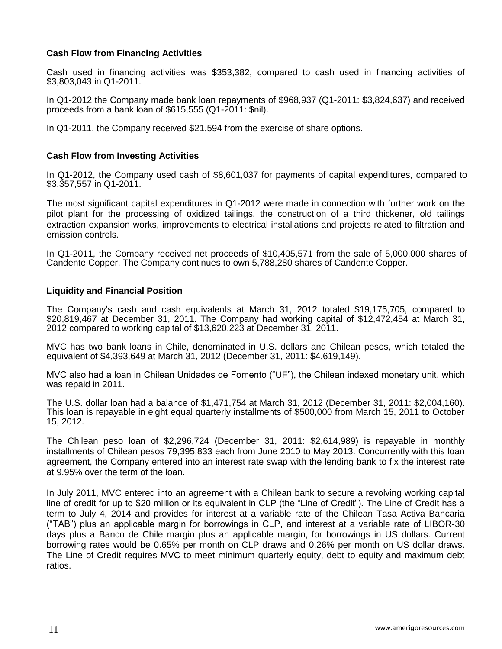# **Cash Flow from Financing Activities**

Cash used in financing activities was \$353,382, compared to cash used in financing activities of \$3,803,043 in Q1-2011.

In Q1-2012 the Company made bank loan repayments of \$968,937 (Q1-2011: \$3,824,637) and received proceeds from a bank loan of \$615,555 (Q1-2011: \$nil).

In Q1-2011, the Company received \$21,594 from the exercise of share options.

## **Cash Flow from Investing Activities**

In Q1-2012, the Company used cash of \$8,601,037 for payments of capital expenditures, compared to \$3,357,557 in Q1-2011.

The most significant capital expenditures in Q1-2012 were made in connection with further work on the pilot plant for the processing of oxidized tailings, the construction of a third thickener, old tailings extraction expansion works, improvements to electrical installations and projects related to filtration and emission controls.

In Q1-2011, the Company received net proceeds of \$10,405,571 from the sale of 5,000,000 shares of Candente Copper. The Company continues to own 5,788,280 shares of Candente Copper.

## **Liquidity and Financial Position**

The Company's cash and cash equivalents at March 31, 2012 totaled \$19,175,705, compared to \$20,819,467 at December 31, 2011. The Company had working capital of \$12,472,454 at March 31, 2012 compared to working capital of \$13,620,223 at December 31, 2011.

MVC has two bank loans in Chile, denominated in U.S. dollars and Chilean pesos, which totaled the equivalent of \$4,393,649 at March 31, 2012 (December 31, 2011: \$4,619,149).

MVC also had a loan in Chilean Unidades de Fomento ("UF"), the Chilean indexed monetary unit, which was repaid in 2011.

The U.S. dollar loan had a balance of \$1,471,754 at March 31, 2012 (December 31, 2011: \$2,004,160). This loan is repayable in eight equal quarterly installments of \$500,000 from March 15, 2011 to October 15, 2012.

The Chilean peso loan of \$2,296,724 (December 31, 2011: \$2,614,989) is repayable in monthly installments of Chilean pesos 79,395,833 each from June 2010 to May 2013. Concurrently with this loan agreement, the Company entered into an interest rate swap with the lending bank to fix the interest rate at 9.95% over the term of the loan.

In July 2011, MVC entered into an agreement with a Chilean bank to secure a revolving working capital line of credit for up to \$20 million or its equivalent in CLP (the "Line of Credit"). The Line of Credit has a term to July 4, 2014 and provides for interest at a variable rate of the Chilean Tasa Activa Bancaria ("TAB") plus an applicable margin for borrowings in CLP, and interest at a variable rate of LIBOR-30 days plus a Banco de Chile margin plus an applicable margin, for borrowings in US dollars. Current borrowing rates would be 0.65% per month on CLP draws and 0.26% per month on US dollar draws. The Line of Credit requires MVC to meet minimum quarterly equity, debt to equity and maximum debt ratios.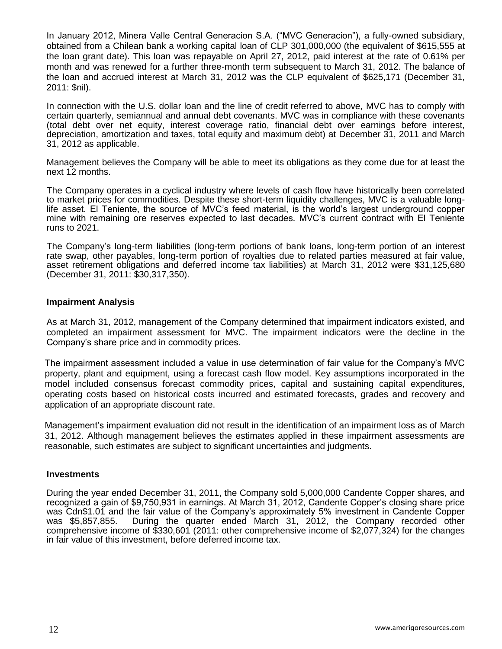In January 2012, Minera Valle Central Generacion S.A. ("MVC Generacion"), a fully-owned subsidiary, obtained from a Chilean bank a working capital loan of CLP 301,000,000 (the equivalent of \$615,555 at the loan grant date). This loan was repayable on April 27, 2012, paid interest at the rate of 0.61% per month and was renewed for a further three-month term subsequent to March 31, 2012. The balance of the loan and accrued interest at March 31, 2012 was the CLP equivalent of \$625,171 (December 31, 2011: \$nil).

In connection with the U.S. dollar loan and the line of credit referred to above, MVC has to comply with certain quarterly, semiannual and annual debt covenants. MVC was in compliance with these covenants (total debt over net equity, interest coverage ratio, financial debt over earnings before interest, depreciation, amortization and taxes, total equity and maximum debt) at December 31, 2011 and March 31, 2012 as applicable.

Management believes the Company will be able to meet its obligations as they come due for at least the next 12 months.

The Company operates in a cyclical industry where levels of cash flow have historically been correlated to market prices for commodities. Despite these short-term liquidity challenges, MVC is a valuable longlife asset. El Teniente, the source of MVC's feed material, is the world's largest underground copper mine with remaining ore reserves expected to last decades. MVC's current contract with El Teniente runs to 2021.

The Company's long-term liabilities (long-term portions of bank loans, long-term portion of an interest rate swap, other payables, long-term portion of royalties due to related parties measured at fair value, asset retirement obligations and deferred income tax liabilities) at March 31, 2012 were \$31,125,680 (December 31, 2011: \$30,317,350).

## **Impairment Analysis**

As at March 31, 2012, management of the Company determined that impairment indicators existed, and completed an impairment assessment for MVC. The impairment indicators were the decline in the Company's share price and in commodity prices.

The impairment assessment included a value in use determination of fair value for the Company's MVC property, plant and equipment, using a forecast cash flow model. Key assumptions incorporated in the model included consensus forecast commodity prices, capital and sustaining capital expenditures, operating costs based on historical costs incurred and estimated forecasts, grades and recovery and application of an appropriate discount rate.

Management's impairment evaluation did not result in the identification of an impairment loss as of March 31, 2012. Although management believes the estimates applied in these impairment assessments are reasonable, such estimates are subject to significant uncertainties and judgments.

#### **Investments**

During the year ended December 31, 2011, the Company sold 5,000,000 Candente Copper shares, and recognized a gain of \$9,750,931 in earnings. At March 31, 2012, Candente Copper's closing share price was Cdn\$1.01 and the fair value of the Company's approximately 5% investment in Candente Copper was \$5,857,855. During the quarter ended March 31, 2012, the Company recorded other comprehensive income of \$330,601 (2011: other comprehensive income of \$2,077,324) for the changes in fair value of this investment, before deferred income tax.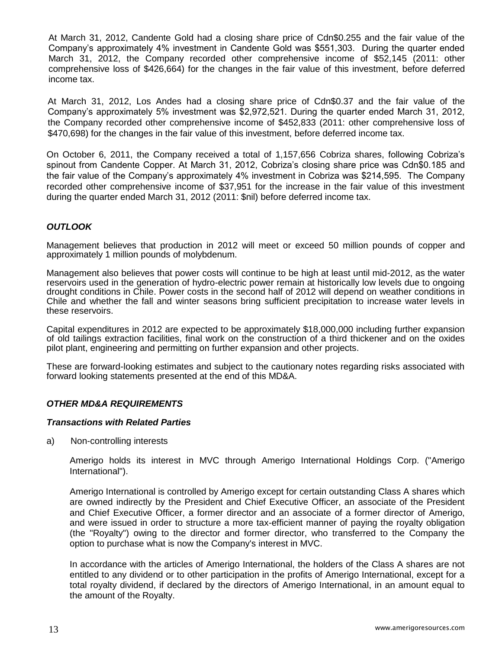At March 31, 2012, Candente Gold had a closing share price of Cdn\$0.255 and the fair value of the Company's approximately 4% investment in Candente Gold was \$551,303. During the quarter ended March 31, 2012, the Company recorded other comprehensive income of \$52,145 (2011: other comprehensive loss of \$426,664) for the changes in the fair value of this investment, before deferred income tax.

At March 31, 2012, Los Andes had a closing share price of Cdn\$0.37 and the fair value of the Company's approximately 5% investment was \$2,972,521. During the quarter ended March 31, 2012, the Company recorded other comprehensive income of \$452,833 (2011: other comprehensive loss of \$470,698) for the changes in the fair value of this investment, before deferred income tax.

On October 6, 2011, the Company received a total of 1,157,656 Cobriza shares, following Cobriza's spinout from Candente Copper. At March 31, 2012, Cobriza's closing share price was Cdn\$0.185 and the fair value of the Company's approximately 4% investment in Cobriza was \$214,595. The Company recorded other comprehensive income of \$37,951 for the increase in the fair value of this investment during the quarter ended March 31, 2012 (2011: \$nil) before deferred income tax.

# *OUTLOOK*

Management believes that production in 2012 will meet or exceed 50 million pounds of copper and approximately 1 million pounds of molybdenum.

Management also believes that power costs will continue to be high at least until mid-2012, as the water reservoirs used in the generation of hydro-electric power remain at historically low levels due to ongoing drought conditions in Chile. Power costs in the second half of 2012 will depend on weather conditions in Chile and whether the fall and winter seasons bring sufficient precipitation to increase water levels in these reservoirs.

Capital expenditures in 2012 are expected to be approximately \$18,000,000 including further expansion of old tailings extraction facilities, final work on the construction of a third thickener and on the oxides pilot plant, engineering and permitting on further expansion and other projects.

These are forward-looking estimates and subject to the cautionary notes regarding risks associated with forward looking statements presented at the end of this MD&A.

## *OTHER MD&A REQUIREMENTS*

## *Transactions with Related Parties*

a) Non-controlling interests

Amerigo holds its interest in MVC through Amerigo International Holdings Corp. ("Amerigo International").

Amerigo International is controlled by Amerigo except for certain outstanding Class A shares which are owned indirectly by the President and Chief Executive Officer, an associate of the President and Chief Executive Officer, a former director and an associate of a former director of Amerigo, and were issued in order to structure a more tax-efficient manner of paying the royalty obligation (the "Royalty") owing to the director and former director, who transferred to the Company the option to purchase what is now the Company's interest in MVC.

In accordance with the articles of Amerigo International, the holders of the Class A shares are not entitled to any dividend or to other participation in the profits of Amerigo International, except for a total royalty dividend, if declared by the directors of Amerigo International, in an amount equal to the amount of the Royalty.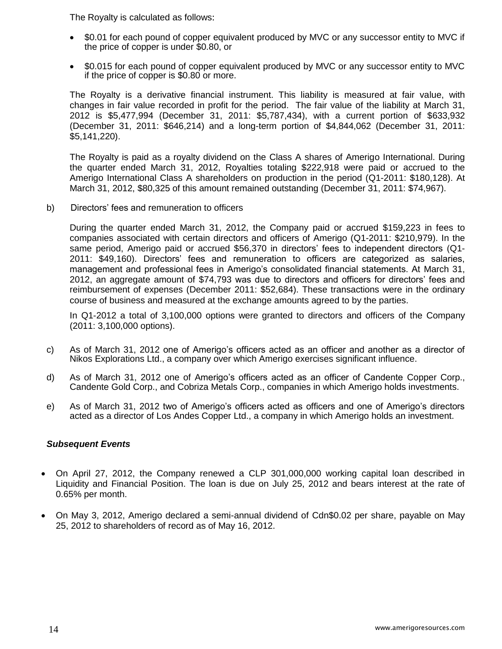The Royalty is calculated as follows:

- \$0.01 for each pound of copper equivalent produced by MVC or any successor entity to MVC if the price of copper is under \$0.80, or
- \$0.015 for each pound of copper equivalent produced by MVC or any successor entity to MVC if the price of copper is \$0.80 or more.

The Royalty is a derivative financial instrument. This liability is measured at fair value, with changes in fair value recorded in profit for the period. The fair value of the liability at March 31, 2012 is \$5,477,994 (December 31, 2011: \$5,787,434), with a current portion of \$633,932 (December 31, 2011: \$646,214) and a long-term portion of \$4,844,062 (December 31, 2011: \$5,141,220).

The Royalty is paid as a royalty dividend on the Class A shares of Amerigo International. During the quarter ended March 31, 2012, Royalties totaling \$222,918 were paid or accrued to the Amerigo International Class A shareholders on production in the period (Q1-2011: \$180,128). At March 31, 2012, \$80,325 of this amount remained outstanding (December 31, 2011: \$74,967).

b) Directors' fees and remuneration to officers

During the quarter ended March 31, 2012, the Company paid or accrued \$159,223 in fees to companies associated with certain directors and officers of Amerigo (Q1-2011: \$210,979). In the same period, Amerigo paid or accrued \$56,370 in directors' fees to independent directors (Q1- 2011: \$49,160). Directors' fees and remuneration to officers are categorized as salaries, management and professional fees in Amerigo's consolidated financial statements. At March 31, 2012, an aggregate amount of \$74,793 was due to directors and officers for directors' fees and reimbursement of expenses (December 2011: \$52,684). These transactions were in the ordinary course of business and measured at the exchange amounts agreed to by the parties.

In Q1-2012 a total of 3,100,000 options were granted to directors and officers of the Company (2011: 3,100,000 options).

- c) As of March 31, 2012 one of Amerigo's officers acted as an officer and another as a director of Nikos Explorations Ltd., a company over which Amerigo exercises significant influence.
- d) As of March 31, 2012 one of Amerigo's officers acted as an officer of Candente Copper Corp., Candente Gold Corp., and Cobriza Metals Corp., companies in which Amerigo holds investments.
- e) As of March 31, 2012 two of Amerigo's officers acted as officers and one of Amerigo's directors acted as a director of Los Andes Copper Ltd., a company in which Amerigo holds an investment.

## *Subsequent Events*

- On April 27, 2012, the Company renewed a CLP 301,000,000 working capital loan described in Liquidity and Financial Position. The loan is due on July 25, 2012 and bears interest at the rate of 0.65% per month.
- On May 3, 2012, Amerigo declared a semi-annual dividend of Cdn\$0.02 per share, payable on May 25, 2012 to shareholders of record as of May 16, 2012.